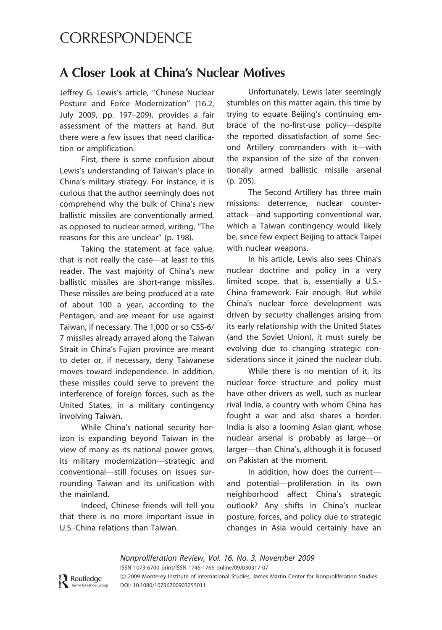# A Closer Look at China's Nuclear Motives

Jeffrey G. Lewis's article, ''Chinese Nuclear Posture and Force Modernization'' (16.2, July 2009, pp. 197-209), provides a fair assessment of the matters at hand. But there were a few issues that need clarification or amplification.

First, there is some confusion about Lewis's understanding of Taiwan's place in China's military strategy. For instance, it is curious that the author seemingly does not comprehend why the bulk of China's new ballistic missiles are conventionally armed, as opposed to nuclear armed, writing, ''The reasons for this are unclear'' (p. 198).

Taking the statement at face value, that is not really the case—at least to this reader. The vast majority of China's new ballistic missiles are short-range missiles. These missiles are being produced at a rate of about 100 a year, according to the Pentagon, and are meant for use against Taiwan, if necessary. The 1,000 or so CSS-6/ 7 missiles already arrayed along the Taiwan Strait in China's Fujian province are meant to deter or, if necessary, deny Taiwanese moves toward independence. In addition, these missiles could serve to prevent the interference of foreign forces, such as the United States, in a military contingency involving Taiwan.

While China's national security horizon is expanding beyond Taiwan in the view of many as its national power grows, its military modernization-strategic and conventional-still focuses on issues surrounding Taiwan and its unification with the mainland.

Indeed, Chinese friends will tell you that there is no more important issue in U.S.-China relations than Taiwan.

Unfortunately, Lewis later seemingly stumbles on this matter again, this time by trying to equate Beijing's continuing embrace of the no-first-use policy-despite the reported dissatisfaction of some Second Artillery commanders with it-with the expansion of the size of the conventionally armed ballistic missile arsenal (p. 205).

The Second Artillery has three main missions: deterrence, nuclear counterattack-and supporting conventional war, which a Taiwan contingency would likely be, since few expect Beijing to attack Taipei with nuclear weapons.

In his article, Lewis also sees China's nuclear doctrine and policy in a very limited scope, that is, essentially a U.S.- China framework. Fair enough. But while China's nuclear force development was driven by security challenges arising from its early relationship with the United States (and the Soviet Union), it must surely be evolving due to changing strategic considerations since it joined the nuclear club.

While there is no mention of it, its nuclear force structure and policy must have other drivers as well, such as nuclear rival India, a country with whom China has fought a war and also shares a border. India is also a looming Asian giant, whose nuclear arsenal is probably as large—or larger-than China's, although it is focused on Pakistan at the moment.

In addition, how does the currentand potential-proliferation in its own neighborhood affect China's strategic outlook? Any shifts in China's nuclear posture, forces, and policy due to strategic changes in Asia would certainly have an

Nonproliferation Review, Vol. 16, No. 3, November 2009 ISSN 1073-6700 print/ISSN 1746-1766 online/09/030317-07 – 2009 Monterey Institute of International Studies, James Martin Center for Nonproliferation Studies DOI: 10.1080/10736700903255011

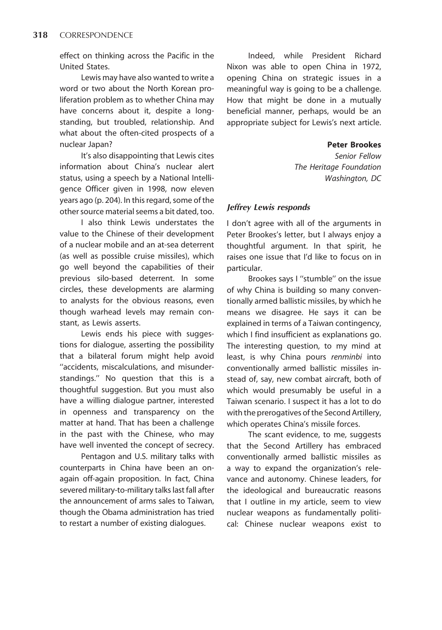effect on thinking across the Pacific in the United States.

Lewis may have also wanted to write a word or two about the North Korean proliferation problem as to whether China may have concerns about it, despite a longstanding, but troubled, relationship. And what about the often-cited prospects of a nuclear Japan?

It's also disappointing that Lewis cites information about China's nuclear alert status, using a speech by a National Intelligence Officer given in 1998, now eleven years ago (p. 204). In this regard, some of the other source material seems a bit dated, too.

I also think Lewis understates the value to the Chinese of their development of a nuclear mobile and an at-sea deterrent (as well as possible cruise missiles), which go well beyond the capabilities of their previous silo-based deterrent. In some circles, these developments are alarming to analysts for the obvious reasons, even though warhead levels may remain constant, as Lewis asserts.

Lewis ends his piece with suggestions for dialogue, asserting the possibility that a bilateral forum might help avoid ''accidents, miscalculations, and misunderstandings.'' No question that this is a thoughtful suggestion. But you must also have a willing dialogue partner, interested in openness and transparency on the matter at hand. That has been a challenge in the past with the Chinese, who may have well invented the concept of secrecy.

Pentagon and U.S. military talks with counterparts in China have been an onagain off-again proposition. In fact, China severed military-to-military talks last fall after the announcement of arms sales to Taiwan, though the Obama administration has tried to restart a number of existing dialogues.

Indeed, while President Richard Nixon was able to open China in 1972, opening China on strategic issues in a meaningful way is going to be a challenge. How that might be done in a mutually beneficial manner, perhaps, would be an appropriate subject for Lewis's next article.

#### Peter Brookes

Senior Fellow The Heritage Foundation Washington, DC

## Jeffrey Lewis responds

I don't agree with all of the arguments in Peter Brookes's letter, but I always enjoy a thoughtful argument. In that spirit, he raises one issue that I'd like to focus on in particular.

Brookes says I ''stumble'' on the issue of why China is building so many conventionally armed ballistic missiles, by which he means we disagree. He says it can be explained in terms of a Taiwan contingency, which I find insufficient as explanations go. The interesting question, to my mind at least, is why China pours renminbi into conventionally armed ballistic missiles instead of, say, new combat aircraft, both of which would presumably be useful in a Taiwan scenario. I suspect it has a lot to do with the prerogatives of the Second Artillery, which operates China's missile forces.

The scant evidence, to me, suggests that the Second Artillery has embraced conventionally armed ballistic missiles as a way to expand the organization's relevance and autonomy. Chinese leaders, for the ideological and bureaucratic reasons that I outline in my article, seem to view nuclear weapons as fundamentally political: Chinese nuclear weapons exist to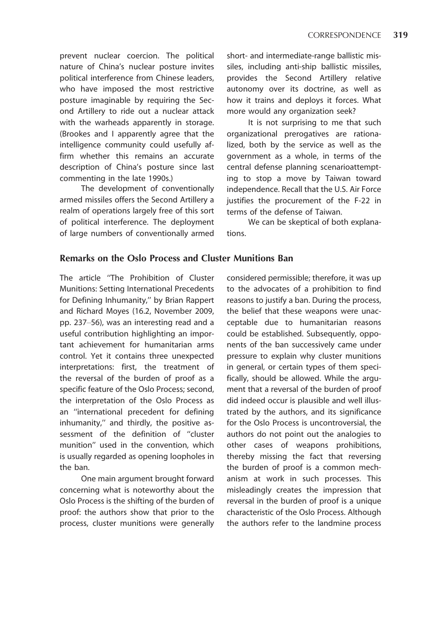prevent nuclear coercion. The political nature of China's nuclear posture invites political interference from Chinese leaders, who have imposed the most restrictive posture imaginable by requiring the Second Artillery to ride out a nuclear attack with the warheads apparently in storage. (Brookes and I apparently agree that the intelligence community could usefully affirm whether this remains an accurate description of China's posture since last commenting in the late 1990s.)

The development of conventionally armed missiles offers the Second Artillery a realm of operations largely free of this sort of political interference. The deployment of large numbers of conventionally armed

short- and intermediate-range ballistic missiles, including anti-ship ballistic missiles, provides the Second Artillery relative autonomy over its doctrine, as well as how it trains and deploys it forces. What more would any organization seek?

It is not surprising to me that such organizational prerogatives are rationalized, both by the service as well as the government as a whole, in terms of the central defense planning scenarioattempting to stop a move by Taiwan toward independence. Recall that the U.S. Air Force justifies the procurement of the F-22 in terms of the defense of Taiwan.

We can be skeptical of both explanations.

### Remarks on the Oslo Process and Cluster Munitions Ban

The article ''The Prohibition of Cluster Munitions: Setting International Precedents for Defining Inhumanity,'' by Brian Rappert and Richard Moyes (16.2, November 2009, pp. 237-56), was an interesting read and a useful contribution highlighting an important achievement for humanitarian arms control. Yet it contains three unexpected interpretations: first, the treatment of the reversal of the burden of proof as a specific feature of the Oslo Process; second, the interpretation of the Oslo Process as an ''international precedent for defining inhumanity,'' and thirdly, the positive assessment of the definition of ''cluster munition'' used in the convention, which is usually regarded as opening loopholes in the ban.

One main argument brought forward concerning what is noteworthy about the Oslo Process is the shifting of the burden of proof: the authors show that prior to the process, cluster munitions were generally considered permissible; therefore, it was up to the advocates of a prohibition to find reasons to justify a ban. During the process, the belief that these weapons were unacceptable due to humanitarian reasons could be established. Subsequently, opponents of the ban successively came under pressure to explain why cluster munitions in general, or certain types of them specifically, should be allowed. While the argument that a reversal of the burden of proof did indeed occur is plausible and well illustrated by the authors, and its significance for the Oslo Process is uncontroversial, the authors do not point out the analogies to other cases of weapons prohibitions, thereby missing the fact that reversing the burden of proof is a common mechanism at work in such processes. This misleadingly creates the impression that reversal in the burden of proof is a unique characteristic of the Oslo Process. Although the authors refer to the landmine process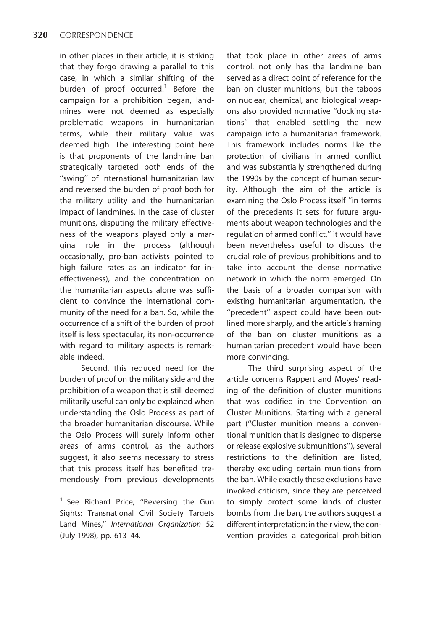in other places in their article, it is striking that they forgo drawing a parallel to this case, in which a similar shifting of the burden of proof occurred.<sup>1</sup> Before the campaign for a prohibition began, landmines were not deemed as especially problematic weapons in humanitarian terms, while their military value was deemed high. The interesting point here is that proponents of the landmine ban strategically targeted both ends of the ''swing'' of international humanitarian law and reversed the burden of proof both for the military utility and the humanitarian impact of landmines. In the case of cluster munitions, disputing the military effectiveness of the weapons played only a marginal role in the process (although occasionally, pro-ban activists pointed to high failure rates as an indicator for ineffectiveness), and the concentration on the humanitarian aspects alone was sufficient to convince the international community of the need for a ban. So, while the occurrence of a shift of the burden of proof itself is less spectacular, its non-occurrence with regard to military aspects is remarkable indeed.

Second, this reduced need for the burden of proof on the military side and the prohibition of a weapon that is still deemed militarily useful can only be explained when understanding the Oslo Process as part of the broader humanitarian discourse. While the Oslo Process will surely inform other areas of arms control, as the authors suggest, it also seems necessary to stress that this process itself has benefited tremendously from previous developments that took place in other areas of arms control: not only has the landmine ban served as a direct point of reference for the ban on cluster munitions, but the taboos on nuclear, chemical, and biological weapons also provided normative ''docking stations'' that enabled settling the new campaign into a humanitarian framework. This framework includes norms like the protection of civilians in armed conflict and was substantially strengthened during the 1990s by the concept of human security. Although the aim of the article is examining the Oslo Process itself ''in terms of the precedents it sets for future arguments about weapon technologies and the regulation of armed conflict,'' it would have been nevertheless useful to discuss the crucial role of previous prohibitions and to take into account the dense normative network in which the norm emerged. On the basis of a broader comparison with existing humanitarian argumentation, the ''precedent'' aspect could have been outlined more sharply, and the article's framing of the ban on cluster munitions as a humanitarian precedent would have been more convincing.

The third surprising aspect of the article concerns Rappert and Moyes' reading of the definition of cluster munitions that was codified in the Convention on Cluster Munitions. Starting with a general part (''Cluster munition means a conventional munition that is designed to disperse or release explosive submunitions''), several restrictions to the definition are listed, thereby excluding certain munitions from the ban. While exactly these exclusions have invoked criticism, since they are perceived to simply protect some kinds of cluster bombs from the ban, the authors suggest a different interpretation: in their view, the convention provides a categorical prohibition

<sup>&</sup>lt;sup>1</sup> See Richard Price, "Reversing the Gun Sights: Transnational Civil Society Targets Land Mines,'' International Organization 52 (July 1998), pp. 613-44.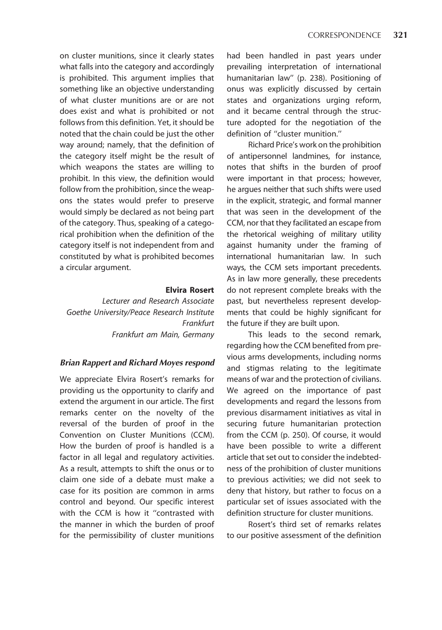on cluster munitions, since it clearly states what falls into the category and accordingly is prohibited. This argument implies that something like an objective understanding of what cluster munitions are or are not does exist and what is prohibited or not follows from this definition. Yet, it should be noted that the chain could be just the other way around; namely, that the definition of the category itself might be the result of which weapons the states are willing to prohibit. In this view, the definition would follow from the prohibition, since the weapons the states would prefer to preserve would simply be declared as not being part of the category. Thus, speaking of a categorical prohibition when the definition of the category itself is not independent from and constituted by what is prohibited becomes a circular argument.

#### Elvira Rosert

Lecturer and Research Associate Goethe University/Peace Research Institute Frankfurt Frankfurt am Main, Germany

#### Brian Rappert and Richard Moyes respond

We appreciate Elvira Rosert's remarks for providing us the opportunity to clarify and extend the argument in our article. The first remarks center on the novelty of the reversal of the burden of proof in the Convention on Cluster Munitions (CCM). How the burden of proof is handled is a factor in all legal and regulatory activities. As a result, attempts to shift the onus or to claim one side of a debate must make a case for its position are common in arms control and beyond. Our specific interest with the CCM is how it "contrasted with the manner in which the burden of proof for the permissibility of cluster munitions

had been handled in past years under prevailing interpretation of international humanitarian law'' (p. 238). Positioning of onus was explicitly discussed by certain states and organizations urging reform, and it became central through the structure adopted for the negotiation of the definition of ''cluster munition.''

Richard Price's work on the prohibition of antipersonnel landmines, for instance, notes that shifts in the burden of proof were important in that process; however, he argues neither that such shifts were used in the explicit, strategic, and formal manner that was seen in the development of the CCM, nor that they facilitated an escape from the rhetorical weighing of military utility against humanity under the framing of international humanitarian law. In such ways, the CCM sets important precedents. As in law more generally, these precedents do not represent complete breaks with the past, but nevertheless represent developments that could be highly significant for the future if they are built upon.

This leads to the second remark, regarding how the CCM benefited from previous arms developments, including norms and stigmas relating to the legitimate means of war and the protection of civilians. We agreed on the importance of past developments and regard the lessons from previous disarmament initiatives as vital in securing future humanitarian protection from the CCM (p. 250). Of course, it would have been possible to write a different article that set out to consider the indebtedness of the prohibition of cluster munitions to previous activities; we did not seek to deny that history, but rather to focus on a particular set of issues associated with the definition structure for cluster munitions.

Rosert's third set of remarks relates to our positive assessment of the definition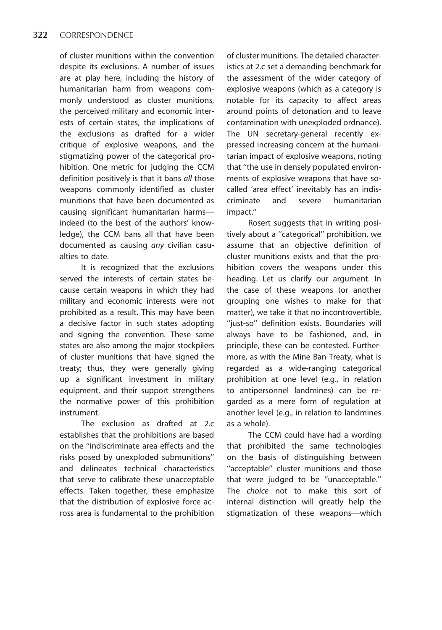of cluster munitions within the convention despite its exclusions. A number of issues are at play here, including the history of humanitarian harm from weapons commonly understood as cluster munitions, the perceived military and economic interests of certain states, the implications of the exclusions as drafted for a wider critique of explosive weapons, and the stigmatizing power of the categorical prohibition. One metric for judging the CCM definition positively is that it bans all those weapons commonly identified as cluster munitions that have been documented as causing significant humanitarian harmsindeed (to the best of the authors' knowledge), the CCM bans all that have been documented as causing any civilian casualties to date.

It is recognized that the exclusions served the interests of certain states because certain weapons in which they had military and economic interests were not prohibited as a result. This may have been a decisive factor in such states adopting and signing the convention. These same states are also among the major stockpilers of cluster munitions that have signed the treaty; thus, they were generally giving up a significant investment in military equipment, and their support strengthens the normative power of this prohibition instrument.

The exclusion as drafted at 2.c establishes that the prohibitions are based on the ''indiscriminate area effects and the risks posed by unexploded submunitions'' and delineates technical characteristics that serve to calibrate these unacceptable effects. Taken together, these emphasize that the distribution of explosive force across area is fundamental to the prohibition of cluster munitions. The detailed characteristics at 2.c set a demanding benchmark for the assessment of the wider category of explosive weapons (which as a category is notable for its capacity to affect areas around points of detonation and to leave contamination with unexploded ordnance). The UN secretary-general recently expressed increasing concern at the humanitarian impact of explosive weapons, noting that ''the use in densely populated environments of explosive weapons that have socalled 'area effect' inevitably has an indiscriminate and severe humanitarian impact.''

Rosert suggests that in writing positively about a ''categorical'' prohibition, we assume that an objective definition of cluster munitions exists and that the prohibition covers the weapons under this heading. Let us clarify our argument. In the case of these weapons (or another grouping one wishes to make for that matter), we take it that no incontrovertible, ''just-so'' definition exists. Boundaries will always have to be fashioned, and, in principle, these can be contested. Furthermore, as with the Mine Ban Treaty, what is regarded as a wide-ranging categorical prohibition at one level (e.g., in relation to antipersonnel landmines) can be regarded as a mere form of regulation at another level (e.g., in relation to landmines as a whole).

The CCM could have had a wording that prohibited the same technologies on the basis of distinguishing between "acceptable" cluster munitions and those that were judged to be ''unacceptable.'' The choice not to make this sort of internal distinction will greatly help the stigmatization of these weapons-which